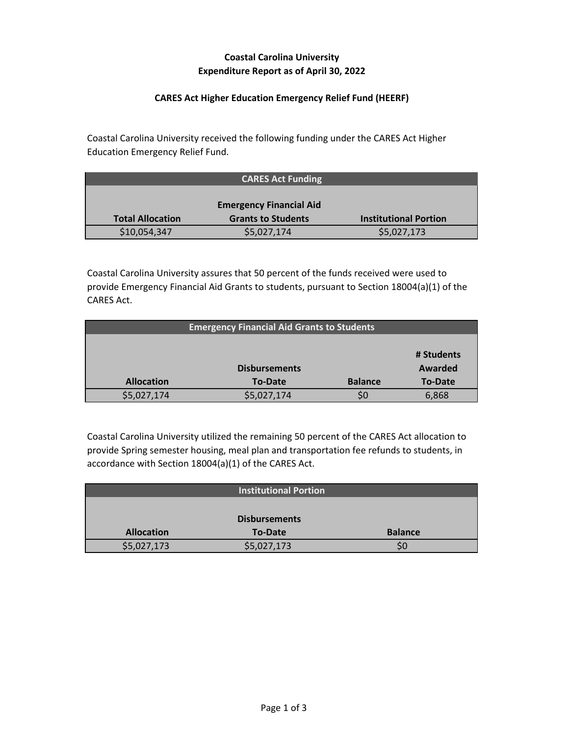# **Coastal Carolina University Expenditure Report as of April 30, 2022**

### **CARES Act Higher Education Emergency Relief Fund (HEERF)**

Coastal Carolina University received the following funding under the CARES Act Higher Education Emergency Relief Fund.

|                         | <b>CARES Act Funding</b>       |                              |
|-------------------------|--------------------------------|------------------------------|
|                         |                                |                              |
|                         | <b>Emergency Financial Aid</b> |                              |
| <b>Total Allocation</b> | <b>Grants to Students</b>      | <b>Institutional Portion</b> |
| \$10,054,347            | \$5,027,174                    | \$5,027,173                  |

Coastal Carolina University assures that 50 percent of the funds received were used to provide Emergency Financial Aid Grants to students, pursuant to Section 18004(a)(1) of the CARES Act.

| <b>Emergency Financial Aid Grants to Students</b> |                      |                |                |
|---------------------------------------------------|----------------------|----------------|----------------|
|                                                   |                      |                |                |
|                                                   |                      |                | # Students     |
|                                                   | <b>Disbursements</b> |                | Awarded        |
| <b>Allocation</b>                                 | <b>To-Date</b>       | <b>Balance</b> | <b>To-Date</b> |
| \$5,027,174                                       | \$5,027,174          |                | 6,868          |

Coastal Carolina University utilized the remaining 50 percent of the CARES Act allocation to provide Spring semester housing, meal plan and transportation fee refunds to students, in accordance with Section 18004(a)(1) of the CARES Act.

|                   | <b>Institutional Portion</b> |                |
|-------------------|------------------------------|----------------|
|                   |                              |                |
|                   | <b>Disbursements</b>         |                |
| <b>Allocation</b> | <b>To-Date</b>               | <b>Balance</b> |
| \$5,027,173       | \$5,027,173                  | SC             |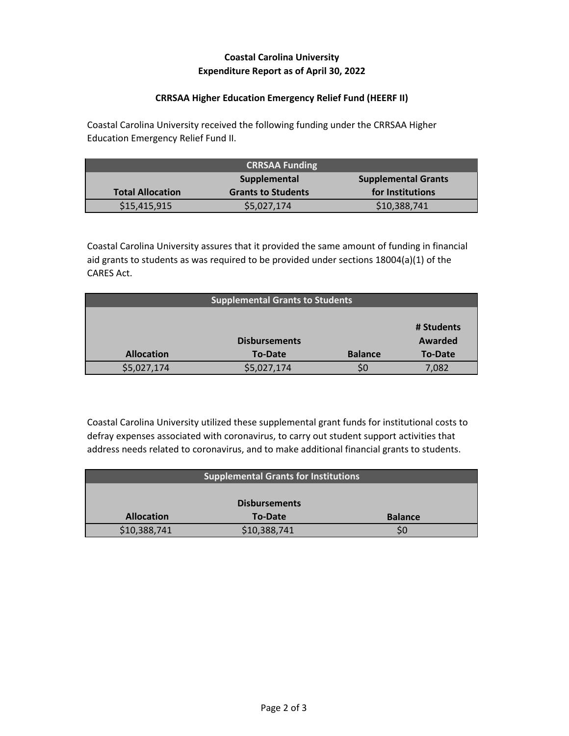# **Coastal Carolina University Expenditure Report as of April 30, 2022**

### **CRRSAA Higher Education Emergency Relief Fund (HEERF II)**

Coastal Carolina University received the following funding under the CRRSAA Higher Education Emergency Relief Fund II.

| <b>CRRSAA Funding</b>                      |                           |                  |
|--------------------------------------------|---------------------------|------------------|
| <b>Supplemental Grants</b><br>Supplemental |                           |                  |
| <b>Total Allocation</b>                    | <b>Grants to Students</b> | for Institutions |
| \$15,415,915                               | \$5,027,174               | \$10,388,741     |

Coastal Carolina University assures that it provided the same amount of funding in financial aid grants to students as was required to be provided under sections 18004(a)(1) of the CARES Act.

| <b>Supplemental Grants to Students</b> |                      |                |                |
|----------------------------------------|----------------------|----------------|----------------|
|                                        |                      |                |                |
|                                        |                      |                | # Students     |
|                                        | <b>Disbursements</b> |                | Awarded        |
| <b>Allocation</b>                      | To-Date              | <b>Balance</b> | <b>To-Date</b> |
| \$5,027,174                            | \$5,027,174          |                | 7,082          |

Coastal Carolina University utilized these supplemental grant funds for institutional costs to defray expenses associated with coronavirus, to carry out student support activities that address needs related to coronavirus, and to make additional financial grants to students.

| <b>Supplemental Grants for Institutions</b> |                |                |  |
|---------------------------------------------|----------------|----------------|--|
|                                             |                |                |  |
| <b>Disbursements</b>                        |                |                |  |
| <b>Allocation</b>                           | <b>To-Date</b> | <b>Balance</b> |  |
| \$10,388,741                                | \$10,388,741   |                |  |